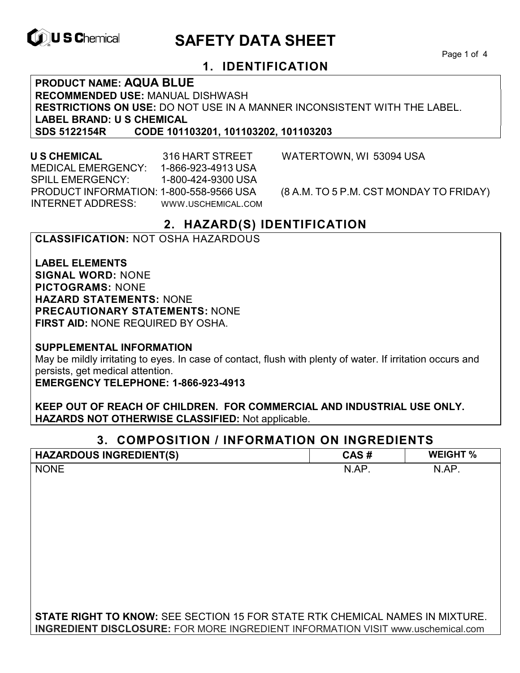

# **ID, U S Chemical CALL SAFETY DATA SHEET**

Page 1 of 4

## **1. IDENTIFICATION**

**PRODUCT NAME: AQUA BLUE RECOMMENDED USE:** MANUAL DISHWASH **RESTRICTIONS ON USE:** DO NOT USE IN A MANNER INCONSISTENT WITH THE LABEL. **LABEL BRAND: U S CHEMICAL SDS 5122154R CODE 101103201, 101103202, 101103203**

 **U S CHEMICAL** 316 HART STREET WATERTOWN, WI 53094 USA MEDICAL EMERGENCY: 1-866-923-4913 USA SPILL EMERGENCY: 1-800-424-9300 USA INTERNET ADDRESS: WWW.USCHEMICAL.COM

PRODUCT INFORMATION: 1-800-558-9566 USA (8 A.M. TO 5 P.M. CST MONDAY TO FRIDAY)

## **2. HAZARD(S) IDENTIFICATION**

#### **CLASSIFICATION:** NOT OSHA HAZARDOUS

**LABEL ELEMENTS SIGNAL WORD:** NONE **PICTOGRAMS:** NONE **HAZARD STATEMENTS:** NONE **PRECAUTIONARY STATEMENTS:** NONE **FIRST AID:** NONE REQUIRED BY OSHA.

**SUPPLEMENTAL INFORMATION** 

May be mildly irritating to eyes. In case of contact, flush with plenty of water. If irritation occurs and persists, get medical attention.

**EMERGENCY TELEPHONE: 1-866-923-4913** 

**KEEP OUT OF REACH OF CHILDREN. FOR COMMERCIAL AND INDUSTRIAL USE ONLY. HAZARDS NOT OTHERWISE CLASSIFIED:** Not applicable.

## **3. COMPOSITION / INFORMATION ON INGREDIENTS**

| <b>HAZARDOUS INGREDIENT(S)</b>                                                         | CAS#  | <b>WEIGHT %</b> |
|----------------------------------------------------------------------------------------|-------|-----------------|
| <b>NONE</b>                                                                            | N.AP. | N.AP.           |
|                                                                                        |       |                 |
|                                                                                        |       |                 |
|                                                                                        |       |                 |
|                                                                                        |       |                 |
|                                                                                        |       |                 |
|                                                                                        |       |                 |
|                                                                                        |       |                 |
|                                                                                        |       |                 |
|                                                                                        |       |                 |
|                                                                                        |       |                 |
| <b>STATE RIGHT TO KNOW:</b> SEE SECTION 15 FOR STATE RTK CHEMICAL NAMES IN MIXTURE.    |       |                 |
| <b>INGREDIENT DISCLOSURE:</b> FOR MORE INGREDIENT INFORMATION VISIT www.uschemical.com |       |                 |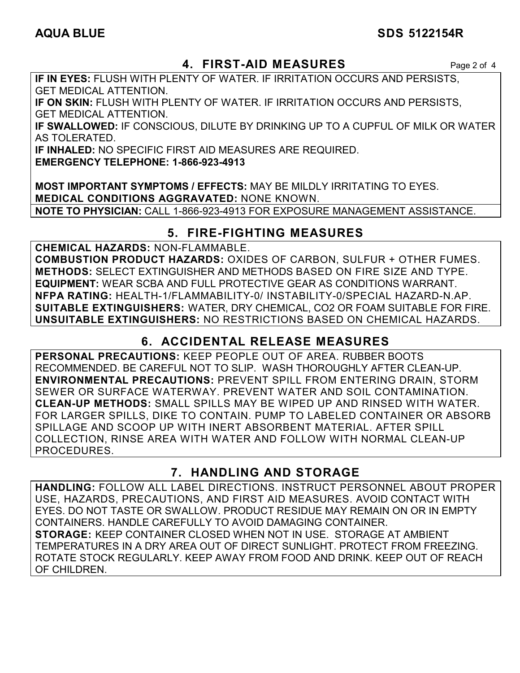## AQUA BLUE SDS 5122154R

## **4. FIRST-AID MEASURES** Page 2 of 4

**IF IN EYES:** FLUSH WITH PLENTY OF WATER. IF IRRITATION OCCURS AND PERSISTS, GET MEDICAL ATTENTION.

**IF ON SKIN:** FLUSH WITH PLENTY OF WATER. IF IRRITATION OCCURS AND PERSISTS, GET MEDICAL ATTENTION.

**IF SWALLOWED:** IF CONSCIOUS, DILUTE BY DRINKING UP TO A CUPFUL OF MILK OR WATER AS TOLERATED.

**IF INHALED:** NO SPECIFIC FIRST AID MEASURES ARE REQUIRED.

**EMERGENCY TELEPHONE: 1-866-923-4913** 

**MOST IMPORTANT SYMPTOMS / EFFECTS:** MAY BE MILDLY IRRITATING TO EYES. **MEDICAL CONDITIONS AGGRAVATED:** NONE KNOWN. **NOTE TO PHYSICIAN:** CALL 1-866-923-4913 FOR EXPOSURE MANAGEMENT ASSISTANCE.

## **5. FIRE-FIGHTING MEASURES**

**CHEMICAL HAZARDS:** NON-FLAMMABLE.

**COMBUSTION PRODUCT HAZARDS:** OXIDES OF CARBON, SULFUR + OTHER FUMES. **METHODS:** SELECT EXTINGUISHER AND METHODS BASED ON FIRE SIZE AND TYPE. **EQUIPMENT:** WEAR SCBA AND FULL PROTECTIVE GEAR AS CONDITIONS WARRANT. **NFPA RATING:** HEALTH-1/FLAMMABILITY-0/ INSTABILITY-0/SPECIAL HAZARD-N.AP. **SUITABLE EXTINGUISHERS:** WATER, DRY CHEMICAL, CO2 OR FOAM SUITABLE FOR FIRE. **UNSUITABLE EXTINGUISHERS:** NO RESTRICTIONS BASED ON CHEMICAL HAZARDS.

## **6. ACCIDENTAL RELEASE MEASURES**

**PERSONAL PRECAUTIONS:** KEEP PEOPLE OUT OF AREA. RUBBER BOOTS RECOMMENDED. BE CAREFUL NOT TO SLIP. WASH THOROUGHLY AFTER CLEAN-UP. **ENVIRONMENTAL PRECAUTIONS:** PREVENT SPILL FROM ENTERING DRAIN, STORM SEWER OR SURFACE WATERWAY. PREVENT WATER AND SOIL CONTAMINATION. **CLEAN-UP METHODS:** SMALL SPILLS MAY BE WIPED UP AND RINSED WITH WATER. FOR LARGER SPILLS, DIKE TO CONTAIN. PUMP TO LABELED CONTAINER OR ABSORB SPILLAGE AND SCOOP UP WITH INERT ABSORBENT MATERIAL. AFTER SPILL COLLECTION, RINSE AREA WITH WATER AND FOLLOW WITH NORMAL CLEAN-UP PROCEDURES.

## **7. HANDLING AND STORAGE**

**HANDLING:** FOLLOW ALL LABEL DIRECTIONS. INSTRUCT PERSONNEL ABOUT PROPER USE, HAZARDS, PRECAUTIONS, AND FIRST AID MEASURES. AVOID CONTACT WITH EYES. DO NOT TASTE OR SWALLOW. PRODUCT RESIDUE MAY REMAIN ON OR IN EMPTY CONTAINERS. HANDLE CAREFULLY TO AVOID DAMAGING CONTAINER. **STORAGE:** KEEP CONTAINER CLOSED WHEN NOT IN USE. STORAGE AT AMBIENT TEMPERATURES IN A DRY AREA OUT OF DIRECT SUNLIGHT. PROTECT FROM FREEZING. ROTATE STOCK REGULARLY. KEEP AWAY FROM FOOD AND DRINK. KEEP OUT OF REACH OF CHILDREN.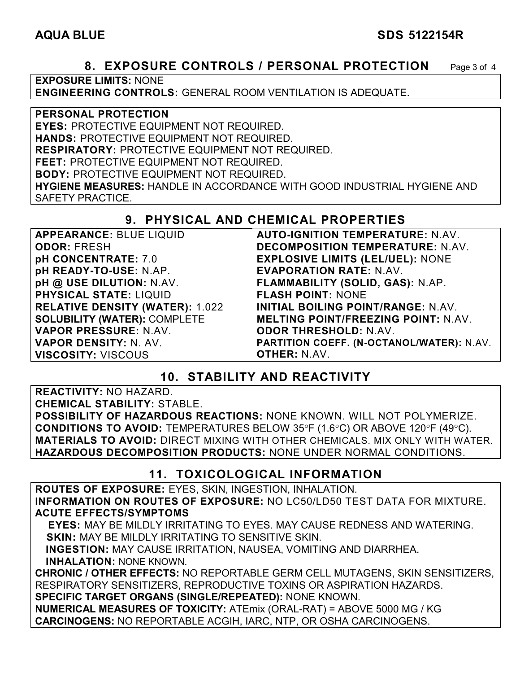#### AQUA BLUE SDS 5122154R

#### **8. EXPOSURE CONTROLS / PERSONAL PROTECTION** Page 3 of 4

**EXPOSURE LIMITS:** NONE

**ENGINEERING CONTROLS:** GENERAL ROOM VENTILATION IS ADEQUATE.

#### **PERSONAL PROTECTION**

**EYES:** PROTECTIVE EQUIPMENT NOT REQUIRED. **HANDS:** PROTECTIVE EQUIPMENT NOT REQUIRED.

**RESPIRATORY:** PROTECTIVE EQUIPMENT NOT REQUIRED.

**FEET:** PROTECTIVE EQUIPMENT NOT REQUIRED.

**BODY:** PROTECTIVE EQUIPMENT NOT REQUIRED.

**HYGIENE MEASURES:** HANDLE IN ACCORDANCE WITH GOOD INDUSTRIAL HYGIENE AND SAFETY PRACTICE.

## **9. PHYSICAL AND CHEMICAL PROPERTIES**

| <b>APPEARANCE: BLUE LIQUID</b>         | <b>AUTO-IGNITION TEMPERATURE: N.AV.</b>    |
|----------------------------------------|--------------------------------------------|
| <b>ODOR: FRESH</b>                     | DECOMPOSITION TEMPERATURE: N.AV.           |
| pH CONCENTRATE: 7.0                    | <b>EXPLOSIVE LIMITS (LEL/UEL): NONE</b>    |
| pH READY-TO-USE: N.AP.                 | <b>EVAPORATION RATE: N.AV.</b>             |
| pH @ USE DILUTION: N.AV.               | FLAMMABILITY (SOLID, GAS): N.AP.           |
| <b>PHYSICAL STATE: LIQUID</b>          | <b>FLASH POINT: NONE</b>                   |
| <b>RELATIVE DENSITY (WATER): 1.022</b> | INITIAL BOILING POINT/RANGE: N.AV.         |
| <b>SOLUBILITY (WATER): COMPLETE</b>    | <b>MELTING POINT/FREEZING POINT: N.AV.</b> |
| VAPOR PRESSURE: N.AV.                  | <b>ODOR THRESHOLD: N.AV.</b>               |
| <b>VAPOR DENSITY: N. AV.</b>           | PARTITION COEFF. (N-OCTANOL/WATER): N.AV.  |
| <b>VISCOSITY: VISCOUS</b>              | <b>OTHER: N.AV.</b>                        |

## **10. STABILITY AND REACTIVITY**

**REACTIVITY:** NO HAZARD.

**CHEMICAL STABILITY:** STABLE.

**POSSIBILITY OF HAZARDOUS REACTIONS:** NONE KNOWN. WILL NOT POLYMERIZE. **CONDITIONS TO AVOID:** TEMPERATURES BELOW 35°F (1.6°C) OR ABOVE 120°F (49°C). **MATERIALS TO AVOID:** DIRECT MIXING WITH OTHER CHEMICALS. MIX ONLY WITH WATER. **HAZARDOUS DECOMPOSITION PRODUCTS:** NONE UNDER NORMAL CONDITIONS.

## **11. TOXICOLOGICAL INFORMATION**

**ROUTES OF EXPOSURE:** EYES, SKIN, INGESTION, INHALATION. **INFORMATION ON ROUTES OF EXPOSURE:** NO LC50/LD50 TEST DATA FOR MIXTURE. **ACUTE EFFECTS/SYMPTOMS**

 **EYES:** MAY BE MILDLY IRRITATING TO EYES. MAY CAUSE REDNESS AND WATERING. **SKIN:** MAY BE MILDLY IRRITATING TO SENSITIVE SKIN.

 **INGESTION:** MAY CAUSE IRRITATION, NAUSEA, VOMITING AND DIARRHEA. **INHALATION:** NONE KNOWN.

**CHRONIC / OTHER EFFECTS:** NO REPORTABLE GERM CELL MUTAGENS, SKIN SENSITIZERS, RESPIRATORY SENSITIZERS, REPRODUCTIVE TOXINS OR ASPIRATION HAZARDS. **SPECIFIC TARGET ORGANS (SINGLE/REPEATED):** NONE KNOWN.

**NUMERICAL MEASURES OF TOXICITY:** ATEmix (ORAL-RAT) = ABOVE 5000 MG / KG **CARCINOGENS:** NO REPORTABLE ACGIH, IARC, NTP, OR OSHA CARCINOGENS.